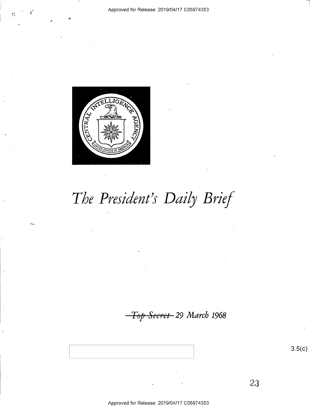

# The President's Daily Brief

Top Secret-29 March 1968

 $3.5(c)$ 

23

Approved for Release: 2019/04/17 C05974353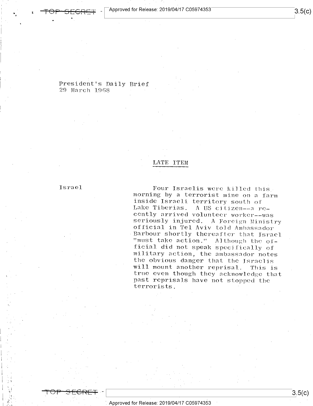President's Daily Brief 29 March 1968 '

## LATE ITEM

 $\blacksquare$ 

Four Israelis were killed this,<br>morning by a terrorist mine on a farm<br>inside Israeli territory south of<br>Lake Tiberias. A US citizen-a re-<br>cently arrived volunteer worker-was<br>seriously injured. A Foreign Ministry<br>official i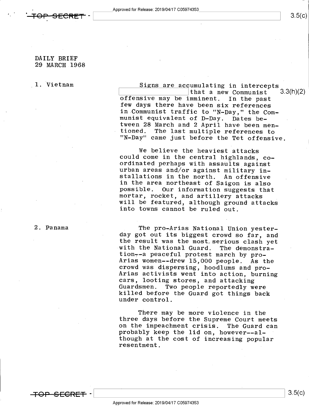## $3.5(c)$

## DAILY BRIEF 29 MARCH 1968

1. Vietnam Signs are accumulating in intercepts<br>that a new Communist 3.3(h)(2) offensive may be imminent. In the past<br>few days there have been six references<br>in Communist traffic to "N-Day," the Com-<br>munist equivalent of D-Day. Dates be-<br>tween 28 March and 2 April have been men-<br>tioned. The last mult that a new Communist

> We believe the heaviest attacks<br>could come in the central highlands, co-<br>ordinated perhaps with assaults against<br>urban areas and/or against military in-<br>stallations in the north. An offensive<br>in the area northeast of Saigo possible. Our information suggests that<br>mortar, rocket, and artillery attacks<br>will be featured, although ground attacks<br>into towns cannot be ruled out.

The pro-Arias National Union yester-<br>day got out its biggest crowd so far, and the result was the most serious clash yet<br>with the National Guard. The demonstra-<br>tion--a peaceful protest march by pro-<br>Arias women--drew 15,000 people. As the<br>crowd was dispersing, hoodlums and pro-<br>Arias activists went Guardsmen. Two people reportedly were<br>killed before the Guard got things back<br>under control.

There may be more violence in the three days before the Supreme Court meets on the impeachment crisis. The Guard can probably keep the lid on, however--although at the cost of increasing popular resentment.

2. Panama

<del>TOP SFCRFT</del>

\ \ 3-5(°)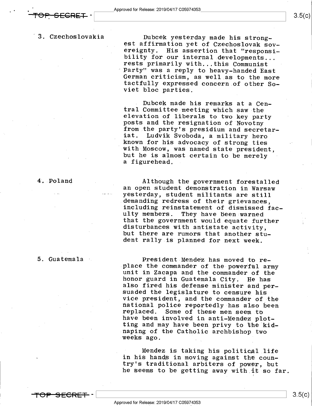-

'3. Czechoslovakia

Dubcek yesterday made his strong-<br>est affirmation yet of Czechoslovak sovereignty. His assertion that "responsi-<br>bility for our internal developments... rests primarily with...this Communist<br>Party" was a reply to heavy-handed East<br>German criticism, as well as to the more<br>tactfully expressed concern of other So-<br>viet bloc parties.

Dubcek made his remarks at a Cen-<br>tral Committee meeting which saw-the<br>elevation of liberals to two key party<br>posts and the resignation of Novotny<br>from the party's presidium and secretar-<br>iat. Ludvik Svoboda, a military he known for his advocacy of strong ties<br>with Moscow, was named state president,<br>but he is almost certain to be merely a figurehead.

Although the government forestalled<br>an open student demonstration in Warsaw<br>yesterday, student militants are still<br>demanding redress of their grievances,<br>including reinstatement of dismissed fac-<br>ulty members. They have be

President Mendez has moved to re-<br>place the commander of the powerful army<br>unit in Zacapa and the commander of the<br>honor guard in Guatemala City. He has<br>also fired his defense minister and per-<br>suaded the legislature to ce

Mendez is taking his political life<br>in his hands in moving against the counin his hands in moving against the coun-<br>try's traditional arbiters of power, but<br>he seems to be getting away with it so far.

<del>TOP SECRET</del> –

4.-Poland

5. Guatemala '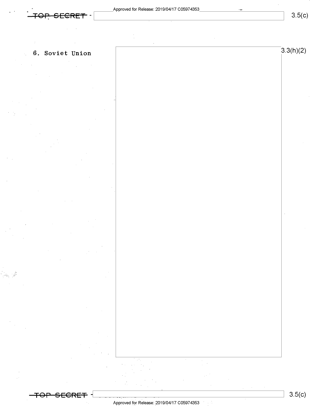$3.5(c)$ 

# 6. Soviet Union  $3.3(h)(2)$

偏读

 $\sim 1$ 

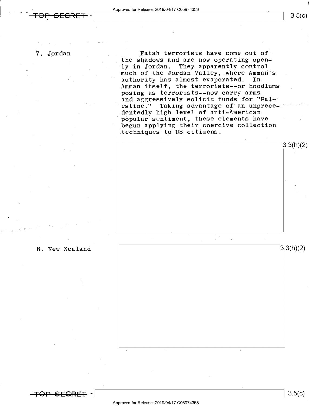<del>'OP SECRET</del> –

 $3.5(c)$ 

7. Jordan vertex of the state of the Fatah terrorists have come out of the shadows and are now operating open-<br>ly in Jordan. They apparently control They apparently control much of the Jordan Valley, where Amman's authority has almost evaporated. In Amman itself, the terrorists--or hoodlums posing as terrorists--now carry arms and aggressively solicit funds for "Pal-' estine." Taking advantage of an unprece-<br>dentedly high level of anti-American popular sentiment, these elements have begun applying their coercive collection techniques to US citizens.





 $3.5(c)$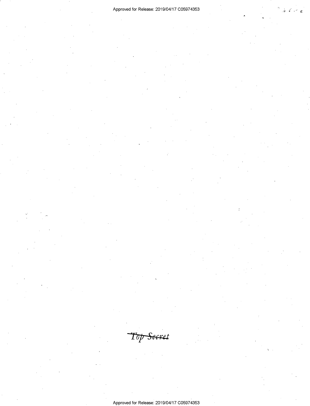# Approved for Release: 2019/04/17 C05974353  $\frac{1}{2}$  Exercise 2019/04/17 C05974353

Top Secret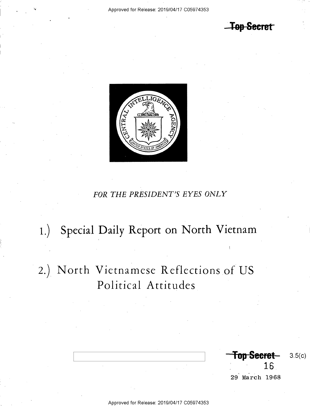<del>-Top Secret</del>



# FOR THE PRESIDENT'S EYES ONLY

# 1.) Special Daily Report on North Vietnam

# 2.) North Vietnamese Reflections of US Political Attitudes

16 29 March 1968

 $3.5(c)$ 

Top Secret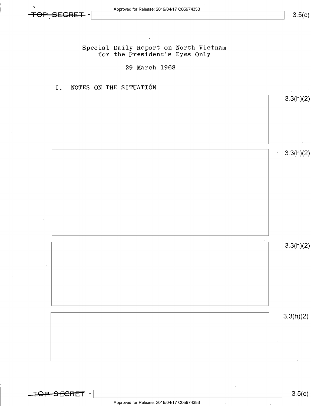$3.5(c)$ 

Special Daily Report on North Vietnam for the President's Eyes Only

## 29 March 1968

1. NOTES ON THE SITUATI6N

3.3(h)(2) 3.3(h)(2) 3.3(h)(2)  $3.3(h)(2)$ 

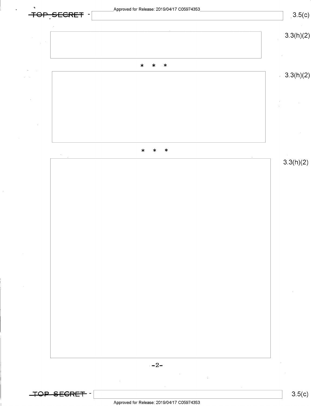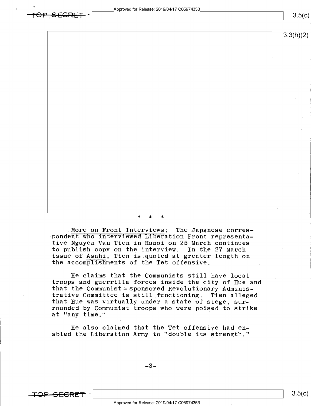3.3(h)(2)

\* \* \*

.More on Front Interviews: The Japanese corres pondent who interviewed Liberation Front representative Nguyen Van Tien in Hanoi on 25 March continues to publish copy on the interview. In the 27.March issue of Asahi, Tien is quoted at greater length on the accomplishments of the Tet offensive.

-He claims that the Communists still have local troops and guerrilla forces inside the city of Hue and that the Communist - sponsored Revolutionary Administrative Committee is still functioning. Tien alleged that Hue was virtually under a state of siege, surrounded by Communist troops who were poised to strike at "any time." '

He also claimed that the Tet offensive had enabled the Liberation Army to "double its strength."

 $-3-$ 



 $\overline{\texttt{+GPP},\texttt{SEGRET}}$  -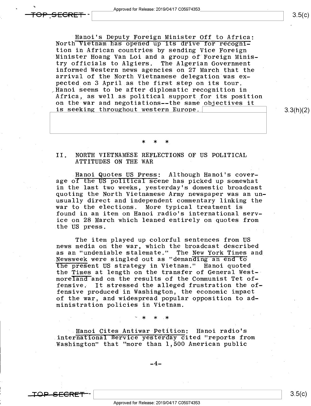<del>IOP SECRE</del>

Hanoi's Deputy Foreign Minister Off to Africa:<br>North Vietnam has opened up its drive for recogni-<br>tion in African countries by sending Vice Foreign Minister Hoang Van Loi and a group of Foreign Minis-<br>try officials to Algiers. The Algerian Government informed Western news agencies on 27 March that the arrival of the North Vietnamese delegation was expected on 3 April as the first step on its tour. FHanoi seems to be after diplomatic recognition in Africa, as well as political support for its position \_ on the war and negotiations--the same objectives it is seeking throughout western Europe.  $\vert$  3.3(h)(2)

### \* \* \*

# II. NORTH VIETNAMESE REFLECTIONS OF US POLITICAL ATTITUDES ON THE WAR

.Hanoi Quotes US Press: Although Hanoi's coverage of the US political scene has picked up somewhat in the last two weeks, yesterday's domestic broadcast quoting the North Vietnamese Army newspaper was an unusually direct and independent commentary linking the<br>war to the elections. More typical treatment is More typical treatment is found in an item on Hanoi radio's international service on 28 March which leaned entirely on quotes from the US press.

The item played up colorful sentences from US news media on the war, which the broadcast described as an "undeniable stalemate." The New York Times and Newsweek were singled out as "demanding an end to the present US strategy in Vietnam." Hanoi quoted the Times at length on the transfer of General West- $\cdot$ moreland and on the results of the Communist Tet of-<br>fensive. It stressed the alleged frustration the of It stressed the alleged frustration the offensive produced in Washington, the economic impact of the war, and widespread popular opposition to administration policies in Vietnam.

; I  $\sim$  , I  $\sim$  , I  $\sim$  , I  $\sim$  , I  $\star$  , I  $\star$  , I  $\star$ 

~\_Hanoi Cites Antiwar Petition: Hanoi radio's .international Service yesterday cited "reports from Washington" that "more than 1,500 American public

\_4\_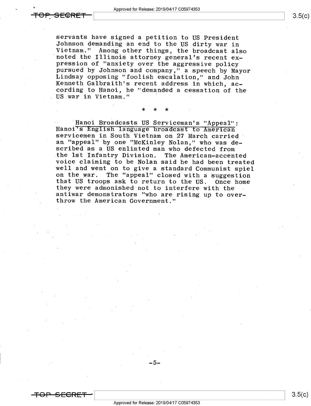i

servants have signed a petition to US President<br>Johnson demanding an end to the US dirty war in<br>Vietnam." Among other things, the broadcast also<br>noted the Illinois attorney general's recent ex-<br>pression of "anxiety over th US war in Vietnam." '

\* \* \* -

Hanoi Broadcasts US Serviceman's "Appeal":<br>Hanoi<sup>T</sup>S English language broadcast to American<br>servicemen in South Vietnam on 27 March carried<br>an "appeal" by one "McKinley Nolan," who was de-<br>scribed as a US enlisted man who they were admonished not to interfere with the antiwar demonstrators "who are rising up to over- throw the American Government."

Approved for Release: 2019/04/17 C05974353